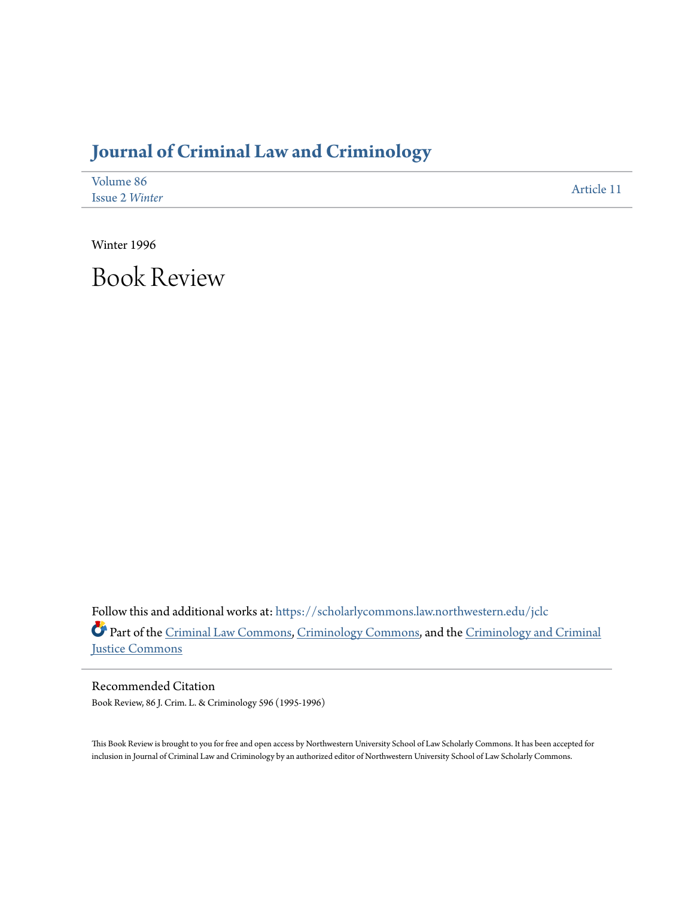## **[Journal of Criminal Law and Criminology](https://scholarlycommons.law.northwestern.edu/jclc?utm_source=scholarlycommons.law.northwestern.edu%2Fjclc%2Fvol86%2Fiss2%2F11&utm_medium=PDF&utm_campaign=PDFCoverPages)**

| Volume 86             | Article 11 |
|-----------------------|------------|
| <b>Issue 2 Winter</b> |            |

Winter 1996

Book Review

Follow this and additional works at: [https://scholarlycommons.law.northwestern.edu/jclc](https://scholarlycommons.law.northwestern.edu/jclc?utm_source=scholarlycommons.law.northwestern.edu%2Fjclc%2Fvol86%2Fiss2%2F11&utm_medium=PDF&utm_campaign=PDFCoverPages) Part of the [Criminal Law Commons](http://network.bepress.com/hgg/discipline/912?utm_source=scholarlycommons.law.northwestern.edu%2Fjclc%2Fvol86%2Fiss2%2F11&utm_medium=PDF&utm_campaign=PDFCoverPages), [Criminology Commons](http://network.bepress.com/hgg/discipline/417?utm_source=scholarlycommons.law.northwestern.edu%2Fjclc%2Fvol86%2Fiss2%2F11&utm_medium=PDF&utm_campaign=PDFCoverPages), and the [Criminology and Criminal](http://network.bepress.com/hgg/discipline/367?utm_source=scholarlycommons.law.northwestern.edu%2Fjclc%2Fvol86%2Fiss2%2F11&utm_medium=PDF&utm_campaign=PDFCoverPages) [Justice Commons](http://network.bepress.com/hgg/discipline/367?utm_source=scholarlycommons.law.northwestern.edu%2Fjclc%2Fvol86%2Fiss2%2F11&utm_medium=PDF&utm_campaign=PDFCoverPages)

Recommended Citation Book Review, 86 J. Crim. L. & Criminology 596 (1995-1996)

This Book Review is brought to you for free and open access by Northwestern University School of Law Scholarly Commons. It has been accepted for inclusion in Journal of Criminal Law and Criminology by an authorized editor of Northwestern University School of Law Scholarly Commons.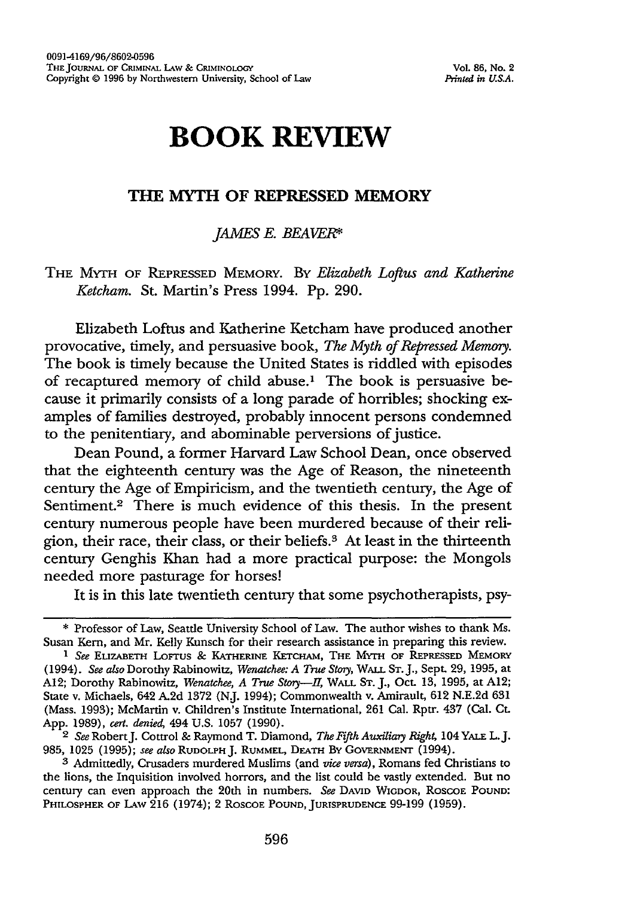## **BOOK REVIEW**

## **THE MYTH OF REPRESSED MEMORY**

## *JAMES E. BEAVER\**

THE MYtH OF REPRESSED MEMORY. By *Elizabeth Loftus and Katherine Ketcham.* St. Martin's Press 1994. **Pp.** 290.

Elizabeth Loftus and Katherine Ketcham have produced another provocative, timely, and persuasive book, *The Myth of Repressed Menmwy.* The book is timely because the United States is riddled with episodes of recaptured memory of child abuse.' The book is persuasive because it primarily consists of a long parade of horribles; shocking examples of families destroyed, probably innocent persons condemned to the penitentiary, and abominable perversions of justice.

Dean Pound, a former Harvard Law School Dean, once observed that the eighteenth century was the Age of Reason, the nineteenth century the Age of Empiricism, and the twentieth century, the Age of Sentiment.<sup>2</sup> There is much evidence of this thesis. In the present century numerous people have been murdered because of their religion, their race, their class, or their beliefs. 3 At least in the thirteenth century Genghis Khan had a more practical purpose: the Mongols needed more pasturage for horses!

It is in this late twentieth century that some psychotherapists, psy-

3 Admittedly, Crusaders murdered Muslims (and *vice versa),* Romans fed Christians to the lions, the Inquisition involved horrors, and the list could be vastly extended. But no century can even approach the 20th in numbers. *See* **DAVID** WIGDOR, RoscOE POUND: PHILOSPHER **OF** LAw 216 (1974); 2 RosCOE **POUND, JURISPRUDENCE** 99-199 (1959).

**<sup>\*</sup>** Professor of Law, Seattle University School of Law. The author wishes to thank Ms. Susan Kern, and Mr. Kelly Kunsch for their research assistance in preparing this review.

*I See* ELIZABETH Lorrus **&** KATHERINE KETCHAM, **THE** MYTH **OF** REPRESSED MEMORY (1994). *See also* Dorothy Rabinowitz, *Wenatchee: A True Stry,* WALL **ST.** J., Sept. **29,** 1995, at A12; Dorothy Rabinowitz, *Wenatchee, A True Story-II*, WALL Sr. J., Oct. 13, 1995, at A12; State v. Michaels, 642 **A.2d 1372** (NJ. 1994); Commonwealth v. Amirault, **612 N.E.2d 631** (Mass. 1993); McMartin v. Children's Institute International, **261** Cal. Rptr. 437 (Cal. Ct. App. 1989), *cert. denied,* 494 U.S. **1057** (1990).

*<sup>2</sup> See* RobertJ. Cottrol **&** Raymond T. Diamond, *The Fifth Auxiliary Right* 104 **YALE** L.J. **985, 1025** (1995); *see also* RUDOLPH **J.** RUMMEL, **DEATH** By **GOVERNMENT** (1994).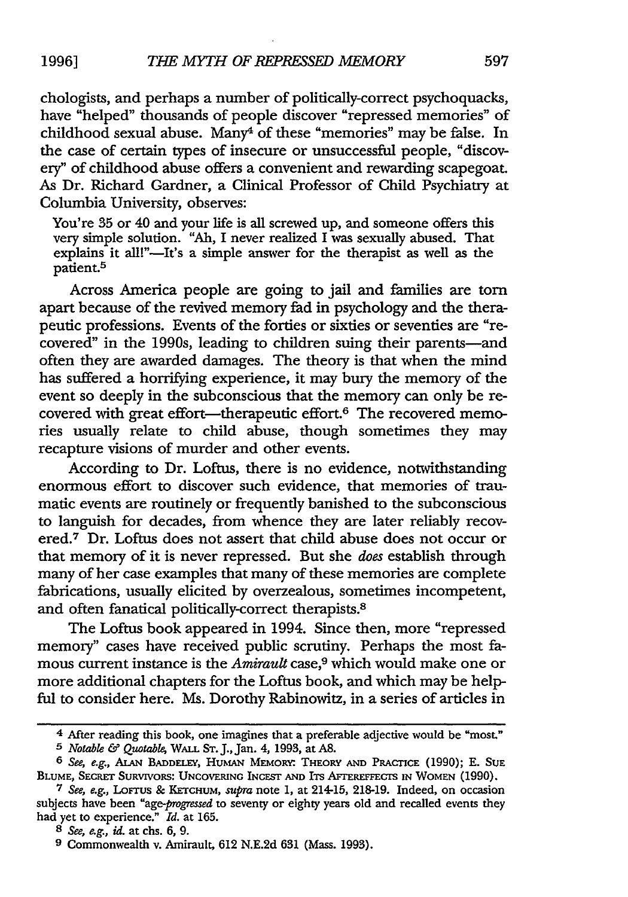chologists, and perhaps a number of politically-correct psychoquacks, have "helped" thousands of people discover "repressed memories" of childhood sexual abuse. Many4 of these "memories" may be false. In the case of certain types of insecure or unsuccessful people, "discovery" of childhood abuse offers a convenient and rewarding scapegoat. As Dr. Richard Gardner, a Clinical Professor of Child Psychiatry at Columbia University, observes:

You're 35 or 40 and your life is all screwed up, and someone offers this very simple solution. "Ah, I never realized I was sexually abused. That explains it all!"--It's a simple answer for the therapist as *well* as the patient.<sup>5</sup>

Across America people are going to jail and families are torn apart because of the revived memory fad in psychology and the therapeutic professions. Events of the forties or sixties or seventies are "recovered" in the 1990s, leading to children suing their parents-and often they are awarded damages. The theory is that when the mind has suffered a horrifying experience, it may bury the memory of the event so deeply in the subconscious that the memory can only be recovered with great effort-therapeutic effort.<sup>6</sup> The recovered memories usually relate to child abuse, though sometimes they may recapture visions of murder and other events.

According to Dr. Loftus, there is no evidence, notwithstanding enormous effort to discover such evidence, that memories of traumatic events are routinely or frequently banished to the subconscious to languish for decades, from whence they are later reliably recovered.7 Dr. Loftus does not assert that child abuse does not occur or that memory of it is never repressed. But she *does* establish through many of her case examples that many of these memories are complete fabrications, usually elicited by overzealous, sometimes incompetent, and often fanatical politically-correct therapists.8

The Loftus book appeared in 1994. Since then, more "repressed memory" cases have received public scrutiny. Perhaps the most famous current instance is the *Amirault* case,9 which would make one or more additional chapters for the Loftus book, and which may be helpful to consider here. Ms. Dorothy Rabinowitz, in a series of articles in

<sup>4</sup> After reading this book, one imagines that a preferable adjective would be "most"

*<sup>5</sup> Notable &9 Quotab/4* WALL ST. J., Jan. 4, 1998, at A8.

**<sup>6</sup>** *See, e.g., ALAN* **BADDELEY,** HUMAN MEMORY. THEORY **AND** PRACrICE **(1990); E.** SUE **BLUME,** SECRET SURVIVORS: **UNCOVERING** INCEST **AND** ITS AFrEREFFECrS **IN** WOMEN (1990).

*<sup>7</sup> See, e.g.,* LoFrus & KETCHUM, *supra* note 1, at 214-15, 218-19. Indeed, on occasion subjects have been *"age-progressed* to seventy or eighty years old and recalled events they had yet to experience." *Id.* at **165.**

*<sup>8</sup> See, e.g., id.* at chs. 6, **9.**

**<sup>9</sup>** Commonwealth v. Amirault, 612 N.E.2d 631 (Mass. 1993).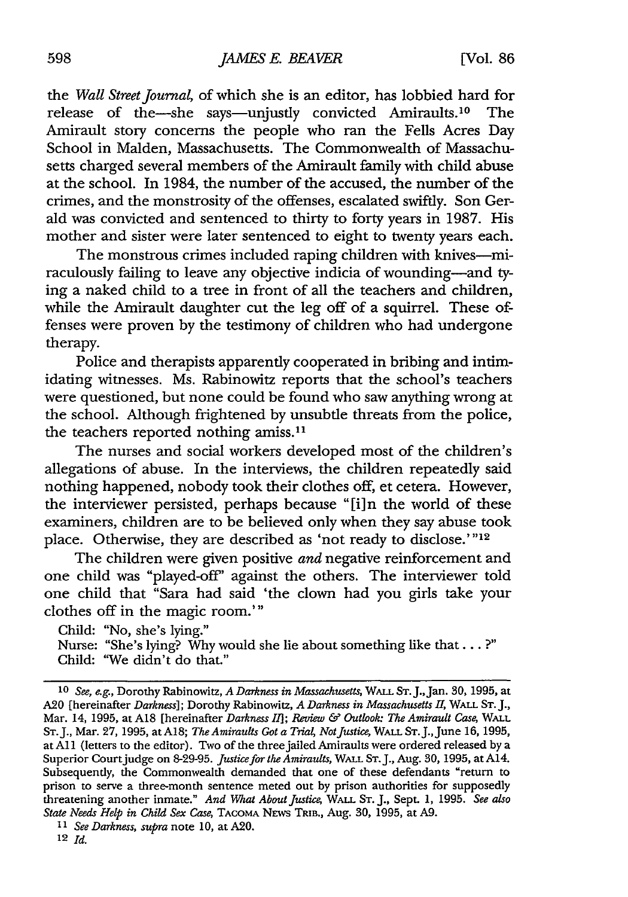the *Wall Street Journal,* of which she is an editor, has lobbied hard for release of the-she says-unjustly convicted Amiraults.<sup>10</sup> The Amirault story concerns the people who ran the Fells Acres Day School in Malden, Massachusetts. The Commonwealth of Massachusetts charged several members of the Amirault family with child abuse at the school. In 1984, the number of the accused, the number of the crimes, and the monstrosity of the offenses, escalated swiftly. Son Gerald was convicted and sentenced to thirty to forty years in 1987. His mother and sister were later sentenced to eight to twenty years each.

The monstrous crimes included raping children with knives---miraculously failing to leave any objective indicia of wounding-and tying a naked child to a tree in front of all the teachers and children, while the Amirault daughter cut the leg off of a squirrel. These offenses were proven by the testimony of children who had undergone therapy.

Police and therapists apparently cooperated in bribing and intimidating witnesses. Ms. Rabinowitz reports that the school's teachers were questioned, but none could be found who saw anything wrong at the school. Although frightened by unsubtle threats from the police, the teachers reported nothing amiss.<sup>11</sup>

The nurses and social workers developed most of the children's allegations of abuse. In the interviews, the children repeatedly said nothing happened, nobody took their clothes off, et cetera. However, the interviewer persisted, perhaps because "[i]n the world of these examiners, children are to be believed only when they say abuse took place. Otherwise, they are described as 'not ready to disclose.'"<sup>12</sup>

The children were given positive *and* negative reinforcement and one child was "played-off' against the others. The interviewer told one child that "Sara had said 'the clown had you girls take your clothes off in the magic room.'"

Child: "No, she's lying."

Nurse: "She's lying? Why would she lie about something like that. **.. ?"** Child: "We didn't do that."

*<sup>10</sup> See, e.g.,* Dorothy Rabinowitz, *A Darkness in Massachusetts,* WALL ST.J.,Jan. **30,** 1995, at **A20** [hereinafter *Darkness];* Dorothy Rabinowitz, *A Darkness in Massachusetts II,* WALL **ST. J.,** Mar. 14, 1995, at A18 [hereinafter *Darkness II*]; Review & Outlook: The Amirault Case, WALL ST.J., Mar. 27, 1995, atA18; *TheAmiraults Got a Tria, Not Justice,* WALL ST.J.,June 16, 1995, at **All** (letters to the editor). Two of the three jailed Amiraults were ordered released by a Superior Courtjudge on 8-29-95. *Justicefor the Amiraults,* WALL **ST.J.,** Aug. **30,** 1995, at A14. Subsequently, the Commonwealth demanded that one of these defendants "return to prison to serve a three-month sentence meted out by prison authorities for supposedly threatening another inmate." *And What About Justice,* WALL ST. **J.,** Sept. 1, 1995. *See also State Needs Help in Child Sex Case,* TAcOMA NEWS TRIB., Aug. **30,** 1995, at **A9.**

**<sup>11</sup>** *See Darkness, supra* note 10, at **A20.**

<sup>12</sup> *Id.*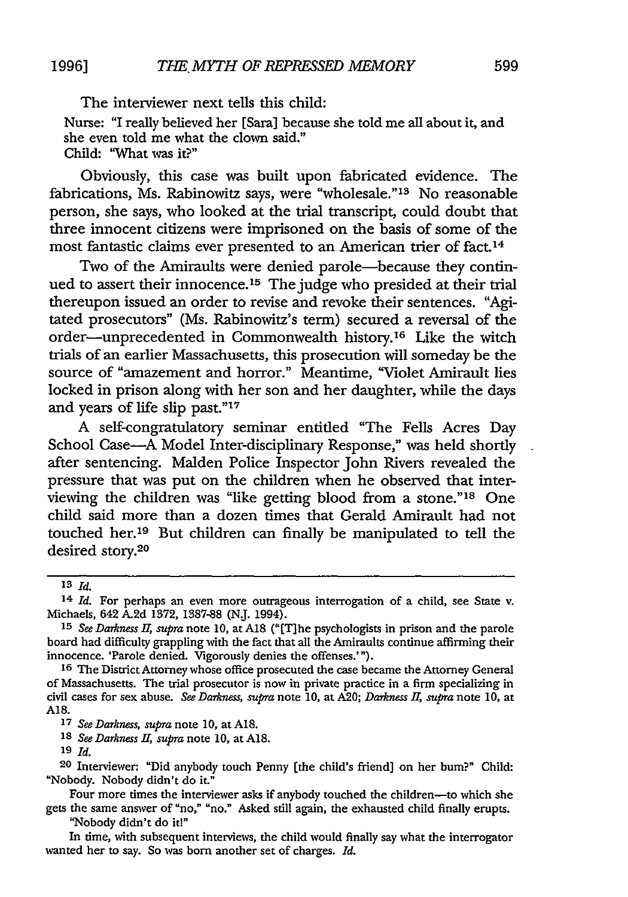The interviewer next tells this child: Nurse: "I really believed her [Sara] because she told me all about it, and she even told me what the clown said." Child: 'Vhat was it?"

Obviously, this case was built upon fabricated evidence. The fabrications, Ms. Rabinowitz says, were "wholesale."<sup>13</sup> No reasonable person, she says, who looked at the trial transcript, could doubt that three innocent citizens were imprisoned on the basis of some of the most fantastic claims ever presented to an American trier of fact.14

Two of the Amiraults were denied parole-because they continued to assert their innocence.<sup>15</sup> The judge who presided at their trial thereupon issued an order to revise and revoke their sentences. "Agitated prosecutors" (Ms. Rabinowitz's term) secured a reversal of the order-unprecedented in Commonwealth history.16 Like the witch trials of an earlier Massachusetts, this prosecution will someday be the source of "amazement and horror." Meantime, 'Violet Amirault lies locked in prison along with her son and her daughter, while the days and years of life slip past."<sup>17</sup>

A self-congratulatory seminar entitled "The Fells Acres Day School Case-A Model Inter-disciplinary Response," was held shortly after sentencing. Malden Police Inspector John Rivers revealed the pressure that was put on the children when he observed that interviewing the children was "like getting blood from a stone."18 One child said more than a dozen times that Gerald Amirault had not touched her.19 But children can finally be manipulated to tell the desired story.20

**17** *See Darkness, supra* note 10, at **A18.**

*18 See Darkness I, supra* note 10, at A18.

**19** *Id.*

"Nobody didn't do itl"

In time, with subsequent interviews, the child would finally say what the interrogator wanted her to say. So was born another set of charges. *Id.*

**<sup>13</sup>** *Id.*

<sup>14</sup> *Id.* For perhaps an even more outrageous interrogation of a child, see State v. Michaels, 642 A.2d 1372, 1387-88 (N.J. 1994).

**<sup>15</sup>** *See Darkness* **H,** supra note **10,** at A18 ("[T]he psychologists in prison and the parole board had difficulty grappling with the fact that all the Amiraults continue affirming their innocence. 'Parole denied. Vigorously denies the offenses.'").

**<sup>16</sup>** The District Attorney whose office prosecuted the case became the Attorney General of Massachusetts. The trial prosecutor is now in private practice in a firm specializing in civil cases for sex abuse. See Darkness, supra note 10, at A20; Darkness II, supra note 10, at A18.

**<sup>20</sup>** Interviewer: "Did anybody touch Penny [the child's friend] on her bum?" Child: "Nobody. Nobody didn't do it."

Four more times the interviewer asks if anybody touched the children--to which she gets the same answer of "no," "no." Asked still again, the exhausted child finally erupts.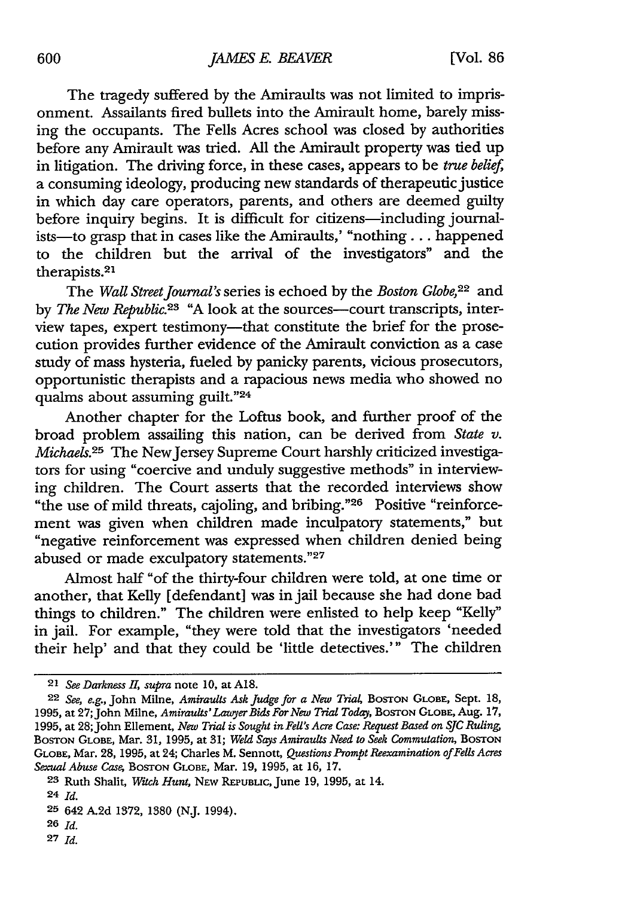The tragedy suffered by the Amiraults was not limited to imprisonment. Assailants fired bullets into the Amirault home, barely missing the occupants. The Fells Acres school was closed by authorities before any Amirault was tried. All the Amirault property was tied up in litigation. The driving force, in these cases, appears to be *true belief* a consuming ideology, producing new standards of therapeutic justice in which day care operators, parents, and others are deemed guilty before inquiry begins. It is difficult for citizens-including journalists-to grasp that in cases like the Amiraults,' "nothing... happened to the children but the arrival of the investigators" and the therapists.<sup>21</sup>

The *Wall Street Journal's* series is echoed by the *Boston Globe,22* and by *The New Republic.*<sup>23</sup> "A look at the sources-court transcripts, interview tapes, expert testimony-that constitute the brief for the prosecution provides further evidence of the Amirault conviction as a case study of mass hysteria, fueled by panicky parents, vicious prosecutors, opportunistic therapists and a rapacious news media who showed no qualms about assuming guilt."24

Another chapter for the Loftus book, and further proof of the broad problem assailing this nation, can be derived from *State v. Michaels.*<sup>25</sup> The New Jersey Supreme Court harshly criticized investigators for using "coercive and unduly suggestive methods" in interviewing children. The Court asserts that the recorded interviews show "the use of mild threats, cajoling, and bribing."<sup>26</sup> Positive "reinforcement was given when children made inculpatory statements," but "negative reinforcement was expressed when children denied being abused or made exculpatory statements."<sup>27</sup>

Almost half "of the thirty-four children were told, at one time or another, that Kelly [defendant] was in jail because she had done bad things to children." The children were enlisted to help keep "Kelly" in jail. For example, "they were told that the investigators 'needed their help' and that they could be 'little detectives.'" The children

- **25** 642 A.2d 1372, 1380 (N.J. 1994).
- **26** *Id.* **27** *Id.*

600

<sup>21</sup> *See Darkness II, supra* note 10, at A18.

<sup>22</sup> *See, e.g.,* John Milne, *Amiraults Ask Judge for a New Tria4* **BOSTON** GLOBE, Sept. 18, 1995, at 27;John Milne, *Amiraults'Laryer Bids For New Trial Today,* BOSTON GLOBE, Aug. 17, 1995, at 28; John Ellement, *New Trial is Sought in Fell's Acre Case: Request Based on SJC Ruling* **BOSToN GLOBE,** Mar. 31, 1995, at 31; *Weld Says Amiraults Need to Seek Commutation,* BOSTON **GLOBE,** Mar. 28, 1995, at 24; Charles M. Sennott, *Questions Prompt Reexamination of Fells Acres Sexual Abuse Case,* **BOSTON GLOBE,** Mar. 19, 1995, at 16, 17.

**<sup>23</sup>** Ruth Shalit, *Witch Hunt,* **NEw** REPUBLIC, June 19, 1995, at 14.

<sup>24</sup> *Id.*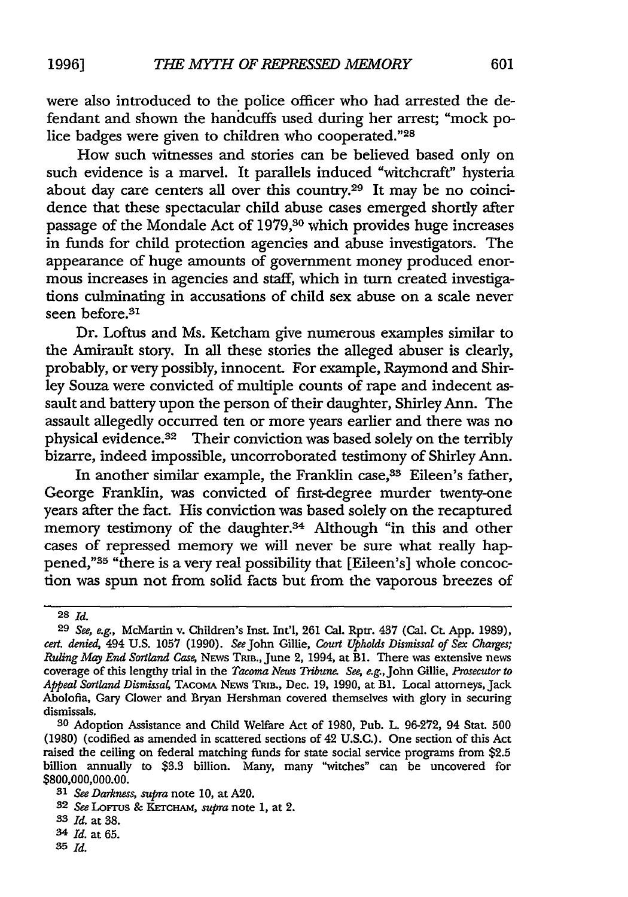were also introduced to the police officer who had arrested the defendant and shown the handcuffs used during her arrest; "mock police badges were given to children who cooperated."28

How such witnesses and stories can be believed based only on such evidence is a marvel. It parallels induced "witchcraft" hysteria about day care centers all over this country.<sup>29</sup> It may be no coincidence that these spectacular child abuse cases emerged shortly after passage of the Mondale Act of 1979,<sup>30</sup> which provides huge increases in funds for child protection agencies and abuse investigators. The appearance of huge amounts of government money produced enormous increases in agencies and staff, which in turn created investigations culminating in accusations of child sex abuse on a scale never seen before.<sup>31</sup>

Dr. Loftus and Ms. Ketcham give numerous examples similar to the Amirault story. In all these stories the alleged abuser is clearly, probably, or very possibly, innocent. For example, Raymond and Shirley Souza were convicted of multiple counts of rape and indecent assault and battery upon the person of their daughter, Shirley Ann. The assault allegedly occurred ten or more years earlier and there was no physical evidence.<sup>32</sup> Their conviction was based solely on the terribly bizarre, indeed impossible, uncorroborated testimony of Shirley Ann.

In another similar example, the Franklin case,<sup>33</sup> Eileen's father, George Franklin, was convicted of first-degree murder twenty-one years after the fact. His conviction was based solely on the recaptured memory testimony of the daughter.<sup>34</sup> Although "in this and other cases of repressed memory we will never be sure what really happened,"35 "there is a very real possibility that [Eileen's] whole concoction was spun not from solid facts but from the vaporous breezes of

*34 Id.* at 65.

<sup>28</sup> *Id.*

**<sup>29</sup>***See,* e.g., McMartin v. Children's Inst. Int'l, 261 Cal. Rptr. 437 (Cal. *Ct* App. 1989), *cert. denied* 494 U.S. 1057 (1990). *See* John Gillie, *Court Upholds Dismissal of Sex Charges; Ruling May End Sortland Case,* NEWs TRm., June 2, 1994, at B1. There was extensive news coverage of this lengthy trial in the *Tacoma News Tribune. See,* e.g.,John Gillie, *Prosecutor to Appeal Sortland Dismissal* TACOMA NEWS TRIB., Dec. 19, 1990, at B1. Local attorneys, Jack Abolofia, Gary Clower and Bryan Hershman covered themselves with glory in securing dismissals.

<sup>30</sup> Adoption Assistance and Child Welfare Act of 1980, Pub. L 96-272, 94 Stat. 500 (1980) (codified as amended in scattered sections of 42 U.S.C.). One section of this Act raised the ceiling on federal matching funds for state social service programs from \$2.5 billion annually to **\$3.3** billion. Many, many "witches" can be uncovered for \$800,000,000.00.

**<sup>31</sup>** *See Darkness, supra* note 10, at **A20.**

**<sup>32</sup>** *See* LoFrus **&** *KsrcHAm, supra* note 1, at 2.

**<sup>33</sup>** *Id.* at **38.**

**<sup>35</sup>** *Id.*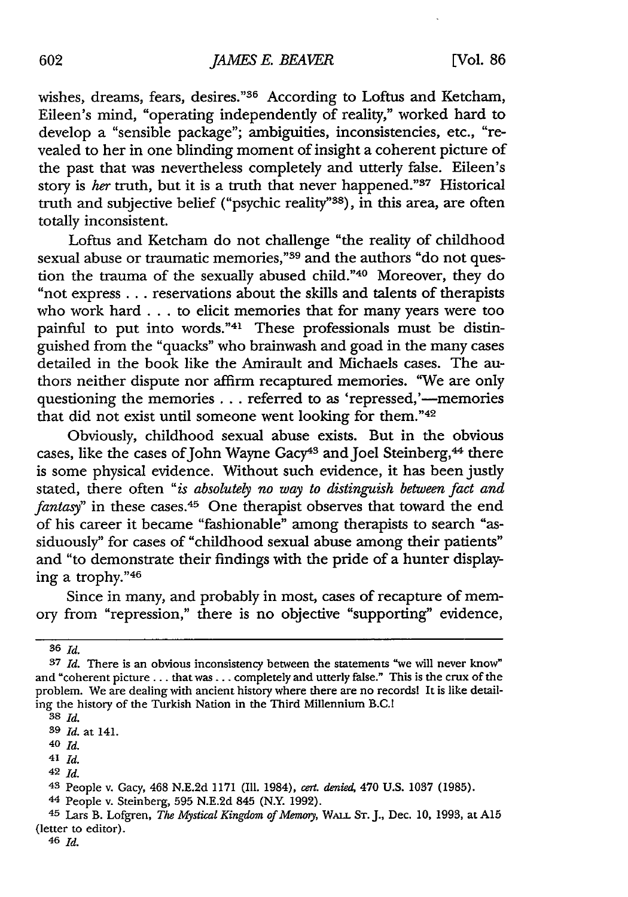wishes, dreams, fears, desires."36 According to Loftus and Ketcham, Eileen's mind, "operating independently of reality," worked hard to develop a "sensible package"; ambiguities, inconsistencies, etc., "revealed to her in one blinding moment of insight a coherent picture of the past that was nevertheless completely and utterly false. Eileen's story is *her* truth, but it is a truth that never happened."<sup>37</sup> Historical truth and subjective belief ("psychic reality"38), in this area, are often totally inconsistent.

Loftus and Ketcham do not challenge "the reality of childhood sexual abuse or traumatic memories,"<sup>39</sup> and the authors "do not question the trauma of the sexually abused child."40 Moreover, they do "not express... reservations about the skills and talents of therapists who work hard.., to elicit memories that for many years were too painful to put into words."41 These professionals must be distinguished from the "quacks" who brainwash and goad in the many cases detailed in the book like the Amirault and Michaels cases. The authors neither dispute nor affirm recaptured memories. "We are only questioning the memories . . . referred to as 'repressed,'—memories that did not exist until someone went looking for them."42

Obviously, childhood sexual abuse exists. But in the obvious cases, like the cases of John Wayne Gacy<sup>43</sup> and Joel Steinberg,<sup>44</sup> there is some physical evidence. Without such evidence, it has been justly stated, there often "is *absolutely no way to distinguish between fact and fantasy"* in these cases.45 One therapist observes that toward the end of his career it became "fashionable" among therapists to search "assiduously" for cases of "childhood sexual abuse among their patients" and "to demonstrate their findings with the pride of a hunter displaying a trophy."46

Since in many, and probably in most, cases of recapture of memory from "repression," there is no objective "supporting" evidence,

**<sup>36</sup>** *Id.*

**<sup>37</sup>** *Id.* There is an obvious inconsistency between the statements "we will never know" and "coherent picture **...** that was... completely and utterly false." This is the crux of the problem. We are dealing with ancient history where there are no records! It is like detailing the history of the Turkish Nation in the Third Millennium B.C.!

**<sup>38</sup>** *Id.*

**<sup>39</sup>** *Id.* at 141.

**<sup>40</sup>** *Id.*

<sup>41</sup> *Id.*

**<sup>42</sup>** *Id.*

<sup>43</sup> People v. Gacy, 468 N.E.2d 1171 (Ill. 1984), cert. denied, 470 U.S. 1037 (1985).

<sup>44</sup> People v. Steinberg, 595 N.E.2d 845 (N.Y. 1992).

<sup>45</sup> Lars B. Lofgren, *The Mystical Kingdom of Memory,* WALL **ST.** J., Dec. 10, 1993, at A15 (letter to editor).

<sup>46</sup> *Id.*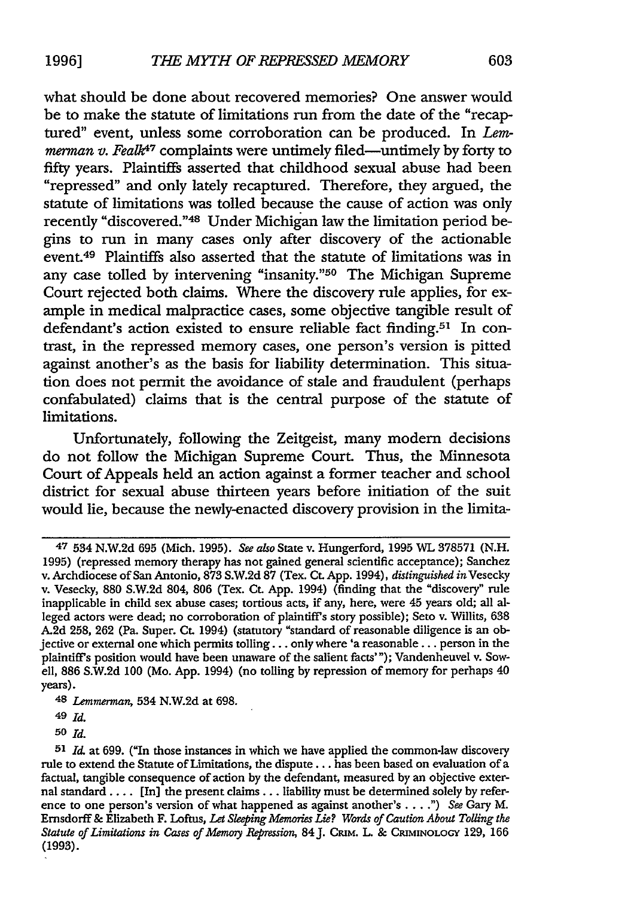what should be done about recovered memories? One answer would be to make the statute of limitations run from the date of the "recaptured" event, unless some corroboration can be produced. In *Lemmerman v. Fealk47* complaints were untimely filed-untimely **by** forty to fifty years. Plaintiffs asserted that childhood sexual abuse had been "repressed" and only lately recaptured. Therefore, they argued, the statute of limitations was tolled because the cause of action was only recently "discovered."48 Under Michigan law the limitation period begins to run in many cases only after discovery of the actionable event 49 Plaintiffs also asserted that the statute of limitations was in any case tolled by intervening "insanity."50 The Michigan Supreme Court rejected both claims. Where the discovery rule applies, for example in medical malpractice cases, some objective tangible result of defendant's action existed to ensure reliable fact finding.<sup>51</sup> In contrast, in the repressed memory cases, one person's version is pitted against another's as the basis for liability determination. This situation does not permit the avoidance of stale and fraudulent (perhaps confabulated) claims that is the central purpose of the statute of limitations.

Unfortunately, following the Zeitgeist, many modem decisions do not follow the Michigan Supreme Court. Thus, the Minnesota Court of Appeals held an action against a former teacher and school district for sexual abuse thirteen years before initiation of the suit would lie, because the newly-enacted discovery provision in the limita-

**50** *Id.*

<sup>47 534</sup> N.W.2d 695 (Mich. 1995). *See also* State v. Hungerford, 1995 WL 378571 (N.H. 1995) (repressed memory therapy has not gained general scientific acceptance); Sanchez v. Archdiocese of San Antonio, 873 S.W.2d 87 (Tex. Ct. App. 1994), *distinguished* inVesecky v. Vesecky, 880 S.W.2d 804, 806 (Tex. *Ct.* **App.** 1994) (finding that the "discovery" rule inapplicable in child sex abuse cases; tortious acts, if any, here, were 45 years old; all alleged actors were dead; no corroboration of plaintiff's story possible); Seto v. Willits, 638 A.2d 258, 262 (Pa. Super. Ct. 1994) (statutory "standard of reasonable diligence is an objective or external one which permits tolling.., only where 'a reasonable... person in the plaintiff's position would have been unaware of the salient facts'"); Vandenheuvel v. Soweli, 886 S.W.2d **100** (Mo. **App.** 1994) (no tolling by repression of memory for perhaps 40 years).

<sup>48</sup> *Lemmerman,* 534 N.W.2d at 698.

<sup>49</sup> *Id.*

**<sup>51</sup>** *Id* at 699. ("In those instances in which we have applied the common-law discovery rule to extend the Statute of Limitations, the dispute **...** has been based on evaluation of a factual, tangible consequence of action by the defendant, measured by an objective external standard .... [In] the present claims... liability must be determined solely by reference to one person's version of what happened as against another's .... *.") See* Gary M. Ernsdorff & Elizabeth F. Loftus, *Let Sleeping Memories Lie? Words of Caution About Tolling the Statute of Limitations in Cases of Memoy Repres* 84J. CRiM. L. & **CIUMINOLOGY** 129, **166 (1993).**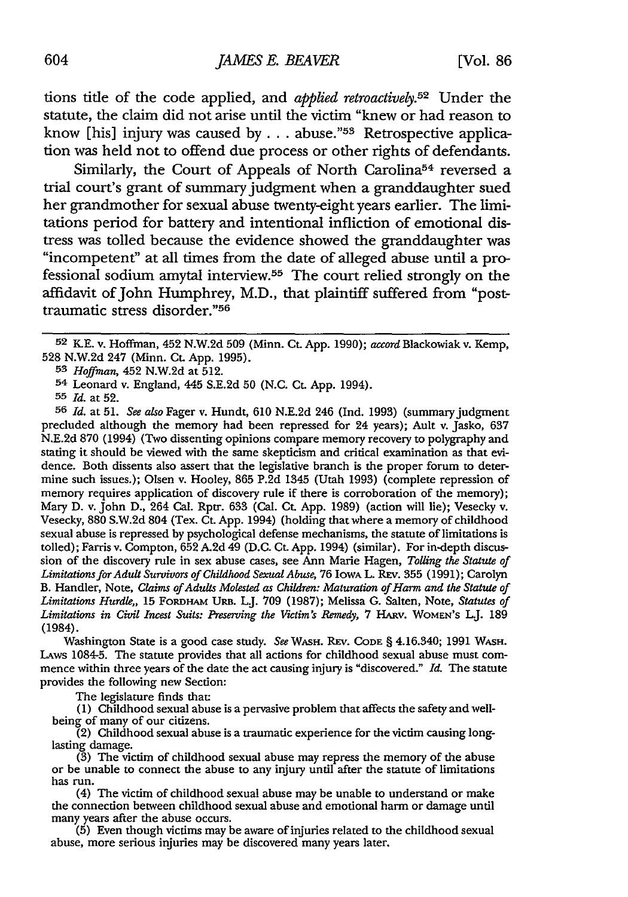tions title of the code applied, and *applied retroactively.52* Under the statute, the claim did not arise until the victim "knew or had reason to know [his] injury was caused by . . . abuse."<sup>53</sup> Retrospective application was held not to offend due process or other rights of defendants.

Similarly, the Court of Appeals of North Carolina<sup>54</sup> reversed a trial court's grant of summary judgment when a granddaughter sued her grandmother for sexual abuse twenty-eight years earlier. The limitations period for battery and intentional infliction of emotional distress was tolled because the evidence showed the granddaughter was "incompetent" at all times from the date of alleged abuse until a professional sodium amytal interview. 55 The court relied strongly on the affidavit of John Humphrey, M.D., that plaintiff suffered from "posttraumatic stress disorder."56

54 Leonard v. England, 445 S.E.2d 50 (N.C. Ct. App. 1994).

**56** *Id.* at 51. *See also* Fager v. Hundt, 610 N.E.2d 246 (Ind. 1993) (summary judgment precluded although the memory had been repressed for 24 years); Ault v. Jasko, 637 N.E.2d 870 (1994) (Two dissenting opinions compare memory recovery to polygraphy and stating it should be viewed with the same skepticism and critical examination as that evidence. Both dissents also assert that the legislative branch is the proper forum to determine such issues.); Olsen v. Hooley, 865 P.2d 1345 (Utah 1993) (complete repression of memory requires application of discovery rule if there is corroboration of the memory); Mary **D.** v. John **D.,** 264 Cal. Rptr. 633 (Cal. Ct. App. 1989) (action will lie); Vesecky v. Vesecky, 880 S.W.2d 804 (Tex. Ct. App. 1994) (holding that where a memory of childhood sexual abuse is repressed by psychological defense mechanisms, the statute of limitations is tolled); Farris v. Compton, 652 A.2d 49 (D.C. **CL** App. 1994) (similar). For in-depth discussion of the discovery rule in sex abuse cases, see Ann Marie Hagen, *Tolling the Statute of Limitations for Adult Survivors of Childhood SexualAbuse,* 76 IOWA L. REv. 355 (1991); Carolyn B. Handler, Note, *Claims of Adults Molested as Children: Maturation of Harm and the Statute of Limitations Hurdle,,* 15 FORDHAM URn. L.J. 709 (1987); Melissa G. Salten, Note, *Statutes of* Limitations in Civil Incest Suits: Preserving the Victim's Remedy, 7 HARV. WOMEN'S L.J. 189 (1984).

Washington State is a good case study. *See* WASH. **REV. CODE** § 4.16.340; 1991 WASH. LAwS 1084-5. The statute provides that all actions for childhood sexual abuse must commence within three years of the date the act causing injury is "discovered." *Id.* The statute provides the following new Section:

The legislature finds that:

(1) Childhood sexual abuse is a pervasive problem that affects the safety and wellbeing of many of our citizens.

(2) Childhood sexual abuse is a traumatic experience for the victim causing longlasting damage.

(3) The victim of childhood sexual abuse may repress the memory of the abuse or be unable to connect the abuse to any injury until after the statute of limitations has run.

(4) The victim of childhood sexual abuse may be unable to understand or make the connection between childhood sexual abuse and emotional harm or damage until many years after the abuse occurs.

**(5)** Even though victims may be aware of injuries related to the childhood sexual abuse, more serious injuries may be discovered many years later.

**<sup>52</sup>** K.E. v. Hoffman, 452 N.W.2d 509 (Minn. Ct. App. 1990); *accord* Blackowiak v. Kemp, 528 N.W.2d 247 (Minn. Ct. App. 1995).

**<sup>53</sup>** *Hoffman,* 452 N.W.2d at 512.

**<sup>55</sup>** *Id.* at 52.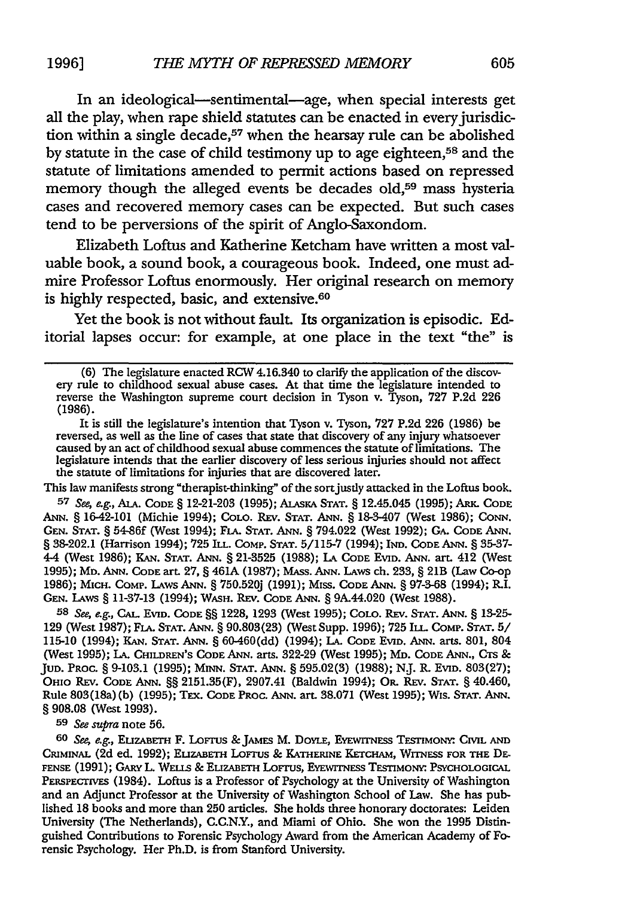In an ideological-sentimental-age, when special interests get all the play, when rape shield statutes can be enacted in every jurisdiction within a single decade,<sup>57</sup> when the hearsay rule can be abolished by statute in the case of child testimony up to age eighteen,<sup>58</sup> and the statute of limitations amended to permit actions based on repressed memory though the alleged events be decades old,<sup>59</sup> mass hysteria cases and recovered memory cases can be expected. But such cases tend to be perversions of the spirit of Anglo-Saxondom.

Elizabeth Loftus and Katherine Ketcham have written a most valuable book, a sound book, a courageous book. Indeed, one must admire Professor Loftus enormously. Her original research on memory is highly respected, basic, and extensive.<sup>60</sup>

Yet the book is not without fault. Its organization is episodic. Editorial lapses occur: for example, at one place in the text "the" is

It is still the legislature's intention that Tyson v. Tyson, 727 P.2d 226 (1986) be reversed, as well as the line of cases that state that discovery of any injury whatsoever caused by an act of childhood sexual abuse commences the statute of limitations. The legislature intends that the earlier discovery of less serious injuries should not affect the statute of limitations for injuries that are discovered later.

This law manifests strong "therapist-thinking" of the sort justly attacked in the Loftus book. **57** See, *ag.,* **ALA. CODE** § 12-21-203 (1995); **ALASKA STAT.** § 12.45.045 (1995); **ARI. CODE ANN.** § 16-42-101 (Michie 1994); COLO. **REv. STAT. ANN.** § 18-3-407 (West 1986); CONN. **GEN. STAT. §** 54-86f (West 1994); FLA. **STAT.** ANN. § 794.022 (West 1992); **GA. CODE ANN.**

§ 38-202.1 (Harrison 1994); 725 ILL. **COMp. STAT.** 5/115-7 (1994); IND. **CODE ANN.** § 35-37- 4-4 (West 1986); **KAN. STAT. ANN.** § 21-3525 (1988); **LA CODE EVID. ANN.** art. 412 (West 1995); **MD.** ANN. **CODE** art. 27, § 461A (1987); MASS. **ANN. LAWS** ch. 233, § 21B (Law Co-op 1986); MICH. **COMp.** LAWS **ANN.** § 750.520j (1991); MISS. **CODE ANN.** § 97-3-68 (1994); R.I. **GEN.** LAws § 11-37-13 (1994); WASH. REv. **CODE ANN.** § 9A.44.020 (West 1988).

*58* See, e.g., CAL. **EVID. CODE** §§ 1228, 1293 (West 1995); **COLO.** REv. **STAT. ANN.** § 13-25- 129 (West 1987); **FLA. STAT. ANN.** § 90.803(23) (West Supp. 1996); 725 ILL. **COMP. STAT.** 5/ 115-10 (1994); **KAN. STAT. ANN.** § 60-460(dd) (1994); LA. **CODE EVID. ANN.** arts. 801, 804 (West 1995); LA. CHILDREN'S CODE **ANN.** arts. 322-29 (West 1995); **MD. CODE ANIN., CTS & JUD. PROC.** § 9-103.1 (1995); MINN. **STAT.** ANN. § 595.02(3) (1988); N.J. R. EvID. 803(27); **OHIO** REv. **CODE ANN.** §§ 2151.35(F), 2907.41 (Baldwin 1994); **OR. REv. STAT.** § 40.460, Rule 803(18a) **(b)** (1995); TEx. **CODE PROC. ANN.** art. 38.071 (West 1995); Wis. **STAT. ANN.** § 908.08 (West 1993).

*59* See supra note **56.**

**60** See, e.g., EuZABETH F. LoFrus &JAMES M. DO=u., **EYEwrrNEsss** TESTIMONY. CIVIL **AND** CRIMINAL **(2d** ed. 1992); **ELIZABErH** LoFrus & KATHERINE KETcHAM, WITNESS **FOR THE DE-**FENSE (1991); GARY L. WELLS & ELIZABETH LOFTUS, EYEWITNESS TESTIMONY: PSYCHOLOGICAL **PERSPECrIVEs** (1984). Loftus is a Professor of Psychology at the University of Washington and an Adjunct Professor at the University of Washington School of Law. She has published 18 books and more than 250 articles. She holds three honorary doctorates: Leiden University (The Netherlands), C.C.N.Y., and Miami of Ohio. She won the 1995 Distinguished Contributions to Forensic Psychology Award from the American Academy of Forensic Psychology. Her Ph.D. is from Stanford University.

<sup>(6)</sup> The legislature enacted RCW 4.16.340 to clarify the application of the discovery rule to childhood sexual abuse cases. At that time the legislature intended to reverse the Washington supreme court decision in Tyson v. Tyson, 727 P.2d 226 (1986).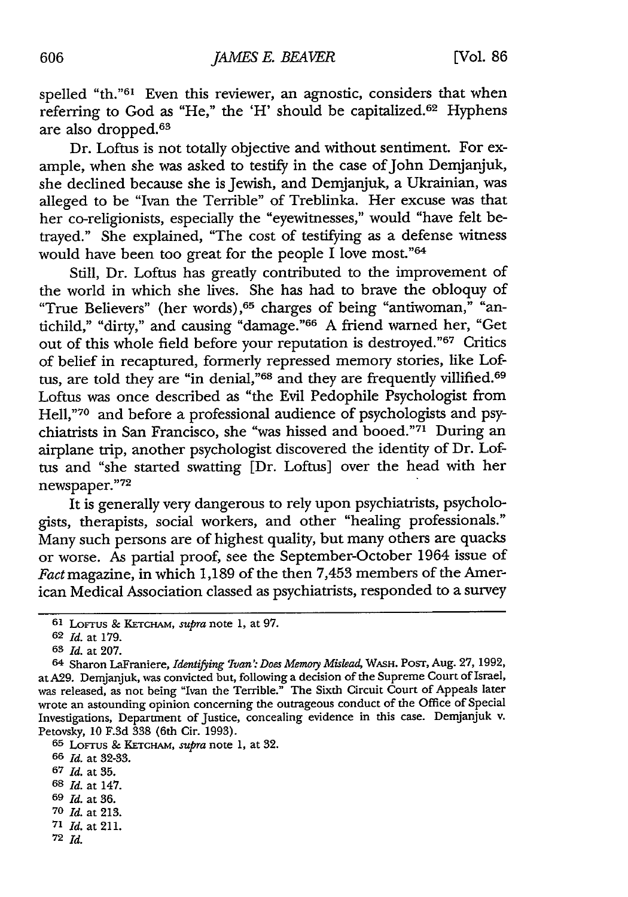spelled "th."<sup>61</sup> Even this reviewer, an agnostic, considers that when referring to God as "He," the 'H' should be capitalized.<sup>62</sup> Hyphens are also dropped.<sup>63</sup>

Dr. Loftus is not totally objective and without sentiment. For example, when she was asked to testify in the case of John Demjanjuk, she declined because she is Jewish, and Demjanjuk, a Ukrainian, was alleged to be "Ivan the Terrible" of Treblinka. Her excuse was that her co-religionists, especially the "eyewitnesses," would "have felt betrayed." She explained, "The cost of testifying as a defense witness would have been too great for the people I love most."64

Still, Dr. Loftus has greatly contributed to the improvement of the world in which she lives. She has had to brave the obloquy of "True Believers" (her words),<sup>65</sup> charges of being "antiwoman," "antichild," "dirty," and causing "damage."<sup>66</sup> A friend warned her, "Get out of this whole field before your reputation is destroyed."67 Critics of belief in recaptured, formerly repressed memory stories, like Loftus, are told they are "in denial,"<sup>68</sup> and they are frequently villified.<sup>69</sup> Loftus was once described as "the Evil Pedophile Psychologist from Hell,"70 and before a professional audience of psychologists and psychiatrists in San Francisco, she "was hissed and booed."71 During an airplane trip, another psychologist discovered the identity of Dr. Loftus and "she started swatting [Dr. Loftus] over the head with her newspaper."72

It is generally very dangerous to rely upon psychiatrists, psychologists, therapists, social workers, and other "healing professionals." Many such persons are of highest quality, but many others are quacks or worse. As partial proof, see the September-October 1964 issue of Fact magazine, in which 1,189 of the then 7,453 members of the American Medical Association classed as psychiatrists, responded to a survey

**65** LoFrus **&** KETCHAM, *supra* note 1, at 32.

- **67** *Id.* at 35.
- 68 *Id.* at 147.
- **69** *Id.* at 36.
- **70** *Id.* at 213.
- **71** *Id.* at 211.
- **72** *Id.*

**<sup>61</sup>** LoFrus & KETCHAM, *supra* note **1,** at **97.**

**<sup>62</sup>** *Id.* at 179.

**<sup>63</sup>** *Id.* at 207.

<sup>64</sup>Sharon LaFraniere, *Identifying Ivan': Does Memory Mislead,* WASH. Posr, Aug. 27, 1992, at A29. Demjanjuk, was convicted but, following a decision of the Supreme Court of Israel, was released, as not being "Ivan the Terrible." The Sixth Circuit Court of Appeals later wrote an astounding opinion concerning the outrageous conduct of the Office of Special Investigations, Department of Justice, concealing evidence in this case. Demjanjuk v. Petovsky, 10 F.3d 338 (6th Cir. 1993).

**<sup>66</sup>** *Id.* at 32-33.